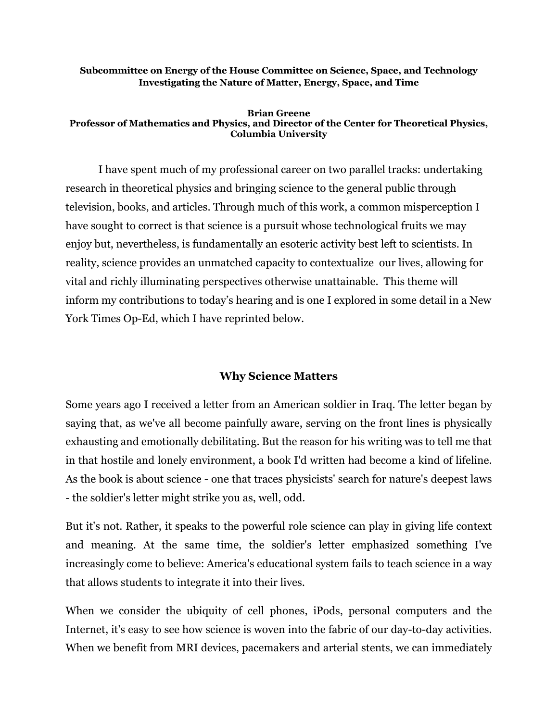#### **Subcommittee on Energy of the House Committee on Science, Space, and Technology Investigating the Nature of Matter, Energy, Space, and Time**

#### **Brian Greene Professor of Mathematics and Physics, and Director of the Center for Theoretical Physics, Columbia University**

I have spent much of my professional career on two parallel tracks: undertaking research in theoretical physics and bringing science to the general public through television, books, and articles. Through much of this work, a common misperception I have sought to correct is that science is a pursuit whose technological fruits we may enjoy but, nevertheless, is fundamentally an esoteric activity best left to scientists. In reality, science provides an unmatched capacity to contextualize our lives, allowing for vital and richly illuminating perspectives otherwise unattainable. This theme will inform my contributions to today's hearing and is one I explored in some detail in a New York Times Op-Ed, which I have reprinted below.

# **Why Science Matters**

Some years ago I received a letter from an American soldier in Iraq. The letter began by saying that, as we've all become painfully aware, serving on the front lines is physically exhausting and emotionally debilitating. But the reason for his writing was to tell me that in that hostile and lonely environment, a book I'd written had become a kind of lifeline. As the book is about science - one that traces physicists' search for nature's deepest laws - the soldier's letter might strike you as, well, odd.

But it's not. Rather, it speaks to the powerful role science can play in giving life context and meaning. At the same time, the soldier's letter emphasized something I've increasingly come to believe: America's educational system fails to teach science in a way that allows students to integrate it into their lives.

When we consider the ubiquity of cell phones, iPods, personal computers and the Internet, it's easy to see how science is woven into the fabric of our day-to-day activities. When we benefit from MRI devices, pacemakers and arterial stents, we can immediately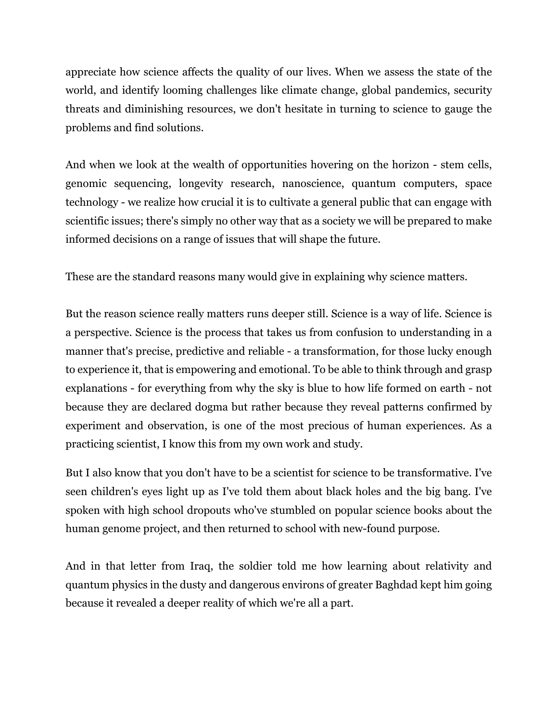appreciate how science affects the quality of our lives. When we assess the state of the world, and identify looming challenges like climate change, global pandemics, security threats and diminishing resources, we don't hesitate in turning to science to gauge the problems and find solutions.

And when we look at the wealth of opportunities hovering on the horizon - stem cells, genomic sequencing, longevity research, nanoscience, quantum computers, space technology - we realize how crucial it is to cultivate a general public that can engage with scientific issues; there's simply no other way that as a society we will be prepared to make informed decisions on a range of issues that will shape the future.

These are the standard reasons many would give in explaining why science matters.

But the reason science really matters runs deeper still. Science is a way of life. Science is a perspective. Science is the process that takes us from confusion to understanding in a manner that's precise, predictive and reliable - a transformation, for those lucky enough to experience it, that is empowering and emotional. To be able to think through and grasp explanations - for everything from why the sky is blue to how life formed on earth - not because they are declared dogma but rather because they reveal patterns confirmed by experiment and observation, is one of the most precious of human experiences. As a practicing scientist, I know this from my own work and study.

But I also know that you don't have to be a scientist for science to be transformative. I've seen children's eyes light up as I've told them about black holes and the big bang. I've spoken with high school dropouts who've stumbled on popular science books about the human genome project, and then returned to school with new-found purpose.

And in that letter from Iraq, the soldier told me how learning about relativity and quantum physics in the dusty and dangerous environs of greater Baghdad kept him going because it revealed a deeper reality of which we're all a part.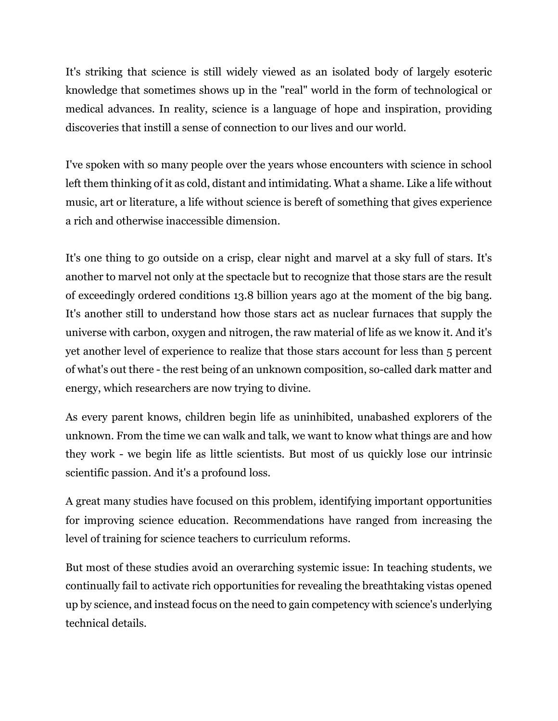It's striking that science is still widely viewed as an isolated body of largely esoteric knowledge that sometimes shows up in the "real" world in the form of technological or medical advances. In reality, science is a language of hope and inspiration, providing discoveries that instill a sense of connection to our lives and our world.

I've spoken with so many people over the years whose encounters with science in school left them thinking of it as cold, distant and intimidating. What a shame. Like a life without music, art or literature, a life without science is bereft of something that gives experience a rich and otherwise inaccessible dimension.

It's one thing to go outside on a crisp, clear night and marvel at a sky full of stars. It's another to marvel not only at the spectacle but to recognize that those stars are the result of exceedingly ordered conditions 13.8 billion years ago at the moment of the big bang. It's another still to understand how those stars act as nuclear furnaces that supply the universe with carbon, oxygen and nitrogen, the raw material of life as we know it. And it's yet another level of experience to realize that those stars account for less than 5 percent of what's out there - the rest being of an unknown composition, so-called dark matter and energy, which researchers are now trying to divine.

As every parent knows, children begin life as uninhibited, unabashed explorers of the unknown. From the time we can walk and talk, we want to know what things are and how they work - we begin life as little scientists. But most of us quickly lose our intrinsic scientific passion. And it's a profound loss.

A great many studies have focused on this problem, identifying important opportunities for improving science education. Recommendations have ranged from increasing the level of training for science teachers to curriculum reforms.

But most of these studies avoid an overarching systemic issue: In teaching students, we continually fail to activate rich opportunities for revealing the breathtaking vistas opened up by science, and instead focus on the need to gain competency with science's underlying technical details.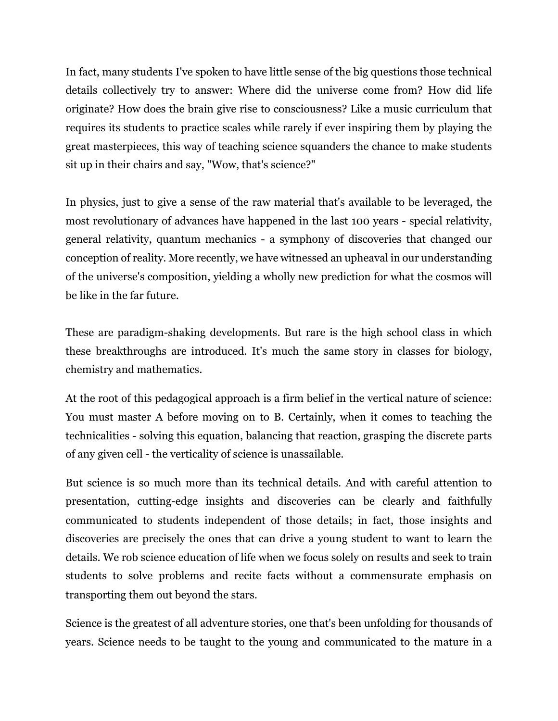In fact, many students I've spoken to have little sense of the big questions those technical details collectively try to answer: Where did the universe come from? How did life originate? How does the brain give rise to consciousness? Like a music curriculum that requires its students to practice scales while rarely if ever inspiring them by playing the great masterpieces, this way of teaching science squanders the chance to make students sit up in their chairs and say, "Wow, that's science?"

In physics, just to give a sense of the raw material that's available to be leveraged, the most revolutionary of advances have happened in the last 100 years - special relativity, general relativity, quantum mechanics - a symphony of discoveries that changed our conception of reality. More recently, we have witnessed an upheaval in our understanding of the universe's composition, yielding a wholly new prediction for what the cosmos will be like in the far future.

These are paradigm-shaking developments. But rare is the high school class in which these breakthroughs are introduced. It's much the same story in classes for biology, chemistry and mathematics.

At the root of this pedagogical approach is a firm belief in the vertical nature of science: You must master A before moving on to B. Certainly, when it comes to teaching the technicalities - solving this equation, balancing that reaction, grasping the discrete parts of any given cell - the verticality of science is unassailable.

But science is so much more than its technical details. And with careful attention to presentation, cutting-edge insights and discoveries can be clearly and faithfully communicated to students independent of those details; in fact, those insights and discoveries are precisely the ones that can drive a young student to want to learn the details. We rob science education of life when we focus solely on results and seek to train students to solve problems and recite facts without a commensurate emphasis on transporting them out beyond the stars.

Science is the greatest of all adventure stories, one that's been unfolding for thousands of years. Science needs to be taught to the young and communicated to the mature in a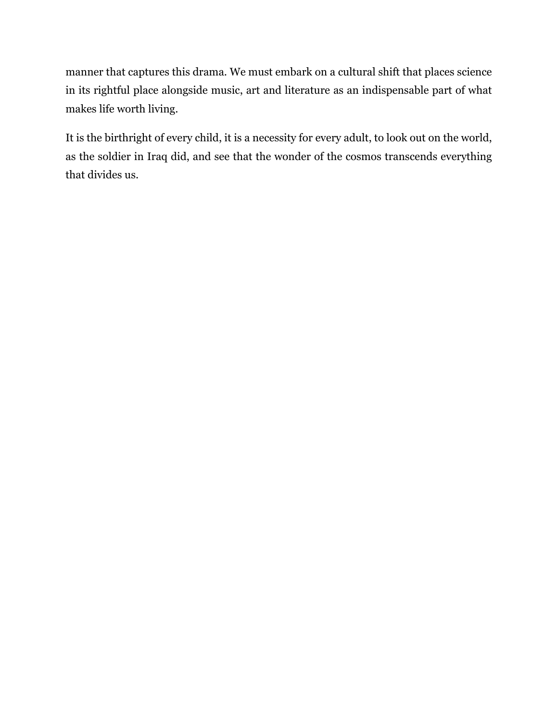manner that captures this drama. We must embark on a cultural shift that places science in its rightful place alongside music, art and literature as an indispensable part of what makes life worth living.

It is the birthright of every child, it is a necessity for every adult, to look out on the world, as the soldier in Iraq did, and see that the wonder of the cosmos transcends everything that divides us.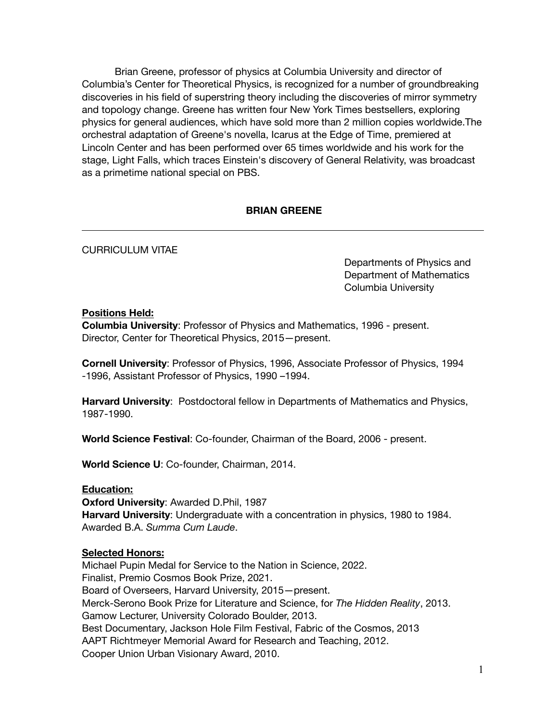Brian Greene, professor of physics at Columbia University and director of Columbia's Center for Theoretical Physics, is recognized for a number of groundbreaking discoveries in his field of superstring theory including the discoveries of mirror symmetry and topology change. Greene has written four New York Times bestsellers, exploring physics for general audiences, which have sold more than 2 million copies worldwide.The orchestral adaptation of Greene's novella, Icarus at the Edge of Time, premiered at Lincoln Center and has been performed over 65 times worldwide and his work for the stage, Light Falls, which traces Einstein's discovery of General Relativity, was broadcast as a primetime national special on PBS.

### **BRIAN GREENE**

CURRICULUM VITAE

Departments of Physics and Department of Mathematics Columbia University

#### **Positions Held:**

**Columbia University**: Professor of Physics and Mathematics, 1996 - present. Director, Center for Theoretical Physics, 2015—present.

**Cornell University**: Professor of Physics, 1996, Associate Professor of Physics, 1994 -1996, Assistant Professor of Physics, 1990 –1994.

**Harvard University**: Postdoctoral fellow in Departments of Mathematics and Physics, 1987-1990.

**World Science Festival**: Co-founder, Chairman of the Board, 2006 - present.

**World Science U**: Co-founder, Chairman, 2014.

**Education: Oxford University**: Awarded D.Phil, 1987 **Harvard University**: Undergraduate with a concentration in physics, 1980 to 1984. Awarded B.A. *Summa Cum Laude*.

#### **Selected Honors:**

Michael Pupin Medal for Service to the Nation in Science, 2022. Finalist, Premio Cosmos Book Prize, 2021. Board of Overseers, Harvard University, 2015—present. Merck-Serono Book Prize for Literature and Science, for *The Hidden Reality*, 2013. Gamow Lecturer, University Colorado Boulder, 2013. Best Documentary, Jackson Hole Film Festival, Fabric of the Cosmos, 2013 AAPT Richtmeyer Memorial Award for Research and Teaching, 2012. Cooper Union Urban Visionary Award, 2010.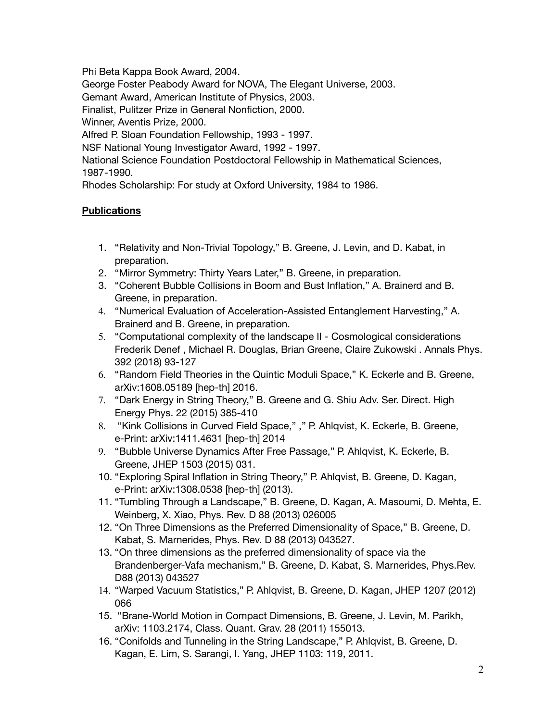Phi Beta Kappa Book Award, 2004. George Foster Peabody Award for NOVA, The Elegant Universe, 2003. Gemant Award, American Institute of Physics, 2003. Finalist, Pulitzer Prize in General Nonfiction, 2000. Winner, Aventis Prize, 2000. Alfred P. Sloan Foundation Fellowship, 1993 - 1997. NSF National Young Investigator Award, 1992 - 1997. National Science Foundation Postdoctoral Fellowship in Mathematical Sciences, 1987-1990. Rhodes Scholarship: For study at Oxford University, 1984 to 1986.

## **Publications**

- 1. "Relativity and Non-Trivial Topology," B. Greene, J. Levin, and D. Kabat, in preparation.
- 2. "Mirror Symmetry: Thirty Years Later," B. Greene, in preparation.
- 3. "Coherent Bubble Collisions in Boom and Bust Inflation," A. Brainerd and B. Greene, in preparation.
- 4. "Numerical Evaluation of Acceleration-Assisted Entanglement Harvesting," A. Brainerd and B. Greene, in preparation.
- 5. "Computational complexity of the landscape II Cosmological considerations Frederik Denef , Michael R. Douglas, Brian Greene, Claire Zukowski . Annals Phys. 392 (2018) 93-127
- 6. "Random Field Theories in the Quintic Moduli Space," K. Eckerle and B. Greene, arXiv:1608.05189 [hep-th] 2016.
- 7. "Dark Energy in String Theory," B. Greene and G. Shiu Adv. Ser. Direct. High Energy Phys. 22 (2015) 385-410
- 8. "Kink Collisions in Curved Field Space," ," P. Ahlqvist, K. Eckerle, B. Greene, e-Print: arXiv:1411.4631 [hep-th] 2014
- 9. "Bubble Universe Dynamics After Free Passage," P. Ahlqvist, K. Eckerle, B. Greene, JHEP 1503 (2015) 031.
- 10. "Exploring Spiral Inflation in String Theory," P. Ahlqvist, B. Greene, D. Kagan, e-Print: arXiv:1308.0538 [hep-th] (2013).
- 11. "Tumbling Through a Landscape," B. Greene, D. Kagan, A. Masoumi, D. Mehta, E. Weinberg, X. Xiao, Phys. Rev. D 88 (2013) 026005
- 12. "On Three Dimensions as the Preferred Dimensionality of Space," B. Greene, D. Kabat, S. Marnerides, Phys. Rev. D 88 (2013) 043527.
- 13. "On three dimensions as the preferred dimensionality of space via the Brandenberger-Vafa mechanism," B. Greene, D. Kabat, S. Marnerides, Phys.Rev. D88 (2013) 043527
- 14. "Warped Vacuum Statistics," P. Ahlqvist, B. Greene, D. Kagan, JHEP 1207 (2012) 066
- 15. "Brane-World Motion in Compact Dimensions, B. Greene, J. Levin, M. Parikh, arXiv: 1103.2174, Class. Quant. Grav. 28 (2011) 155013.
- 16. "Conifolds and Tunneling in the String Landscape," P. Ahlqvist, B. Greene, D. Kagan, E. Lim, S. Sarangi, I. Yang, JHEP 1103: 119, 2011.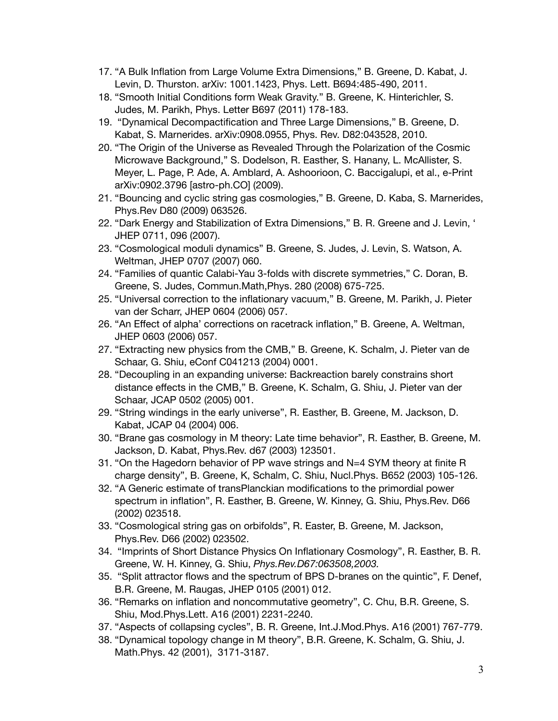- 17. "A Bulk Inflation from Large Volume Extra Dimensions," B. Greene, D. Kabat, J. Levin, D. Thurston. arXiv: 1001.1423, Phys. Lett. B694:485-490, 2011.
- 18. "Smooth Initial Conditions form Weak Gravity." B. Greene, K. Hinterichler, S. Judes, M. Parikh, Phys. Letter B697 (2011) 178-183.
- 19. "Dynamical Decompactification and Three Large Dimensions," B. Greene, D. Kabat, S. Marnerides. arXiv:0908.0955, Phys. Rev. D82:043528, 2010.
- 20. "The Origin of the Universe as Revealed Through the Polarization of the Cosmic Microwave Background," S. Dodelson, R. Easther, S. Hanany, L. McAllister, S. Meyer, L. Page, P. Ade, A. Amblard, A. Ashoorioon, C. Baccigalupi, et al., e-Print arXiv:0902.3796 [astro-ph.CO] (2009).
- 21. "Bouncing and cyclic string gas cosmologies," B. Greene, D. Kaba, S. Marnerides, Phys.Rev D80 (2009) 063526.
- 22. "Dark Energy and Stabilization of Extra Dimensions," B. R. Greene and J. Levin, ' JHEP 0711, 096 (2007).
- 23. "Cosmological moduli dynamics" B. Greene, S. Judes, J. Levin, S. Watson, A. Weltman, JHEP 0707 (2007) 060.
- 24. "Families of quantic Calabi-Yau 3-folds with discrete symmetries," C. Doran, B. Greene, S. Judes, Commun.Math,Phys. 280 (2008) 675-725.
- 25. "Universal correction to the inflationary vacuum," B. Greene, M. Parikh, J. Pieter van der Scharr, JHEP 0604 (2006) 057.
- 26. "An Effect of alpha' corrections on racetrack inflation," B. Greene, A. Weltman, JHEP 0603 (2006) 057.
- 27. "Extracting new physics from the CMB," B. Greene, K. Schalm, J. Pieter van de Schaar, G. Shiu, eConf C041213 (2004) 0001.
- 28. "Decoupling in an expanding universe: Backreaction barely constrains short distance effects in the CMB," B. Greene, K. Schalm, G. Shiu, J. Pieter van der Schaar, JCAP 0502 (2005) 001.
- 29. "String windings in the early universe", R. Easther, B. Greene, M. Jackson, D. Kabat, JCAP 04 (2004) 006.
- 30. "Brane gas cosmology in M theory: Late time behavior", R. Easther, B. Greene, M. Jackson, D. Kabat, Phys.Rev. d67 (2003) 123501.
- 31. "On the Hagedorn behavior of PP wave strings and N=4 SYM theory at finite R charge density", B. Greene, K, Schalm, C. Shiu, Nucl.Phys. B652 (2003) 105-126.
- 32. "A Generic estimate of transPlanckian modifications to the primordial power spectrum in inflation", R. Easther, B. Greene, W. Kinney, G. Shiu, Phys.Rev. D66 (2002) 023518.
- 33. "Cosmological string gas on orbifolds", R. Easter, B. Greene, M. Jackson, Phys.Rev. D66 (2002) 023502.
- 34. "Imprints of Short Distance Physics On Inflationary Cosmology", R. Easther, B. R. Greene, W. H. Kinney, G. Shiu, *Phys.Rev.D67:063508,2003.*
- 35. "Split attractor flows and the spectrum of BPS D-branes on the quintic", F. Denef, B.R. Greene, M. Raugas, JHEP 0105 (2001) 012.
- 36. "Remarks on inflation and noncommutative geometry", C. Chu, B.R. Greene, S. Shiu, Mod.Phys.Lett. A16 (2001) 2231-2240.
- 37. "Aspects of collapsing cycles", B. R. Greene, Int.J.Mod.Phys. A16 (2001) 767-779.
- 38. "Dynamical topology change in M theory", B.R. Greene, K. Schalm, G. Shiu, J. Math.Phys. 42 (2001), 3171-3187.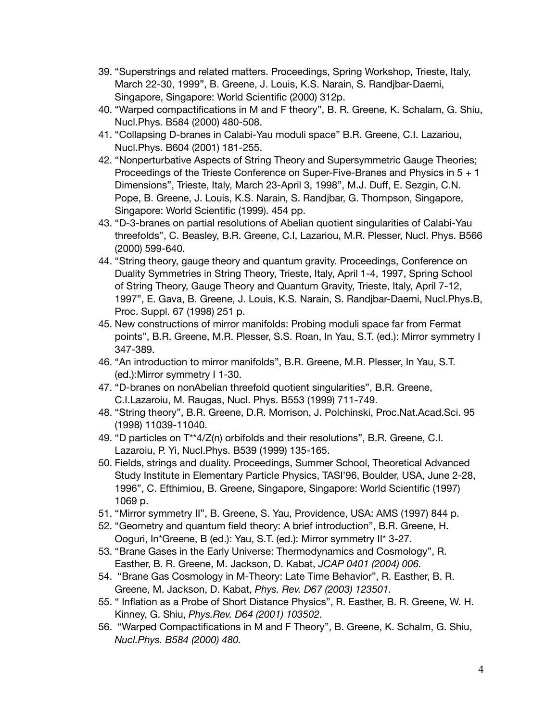- 39. "Superstrings and related matters. Proceedings, Spring Workshop, Trieste, Italy, March 22-30, 1999", B. Greene, J. Louis, K.S. Narain, S. Randjbar-Daemi, Singapore, Singapore: World Scientific (2000) 312p.
- 40. "Warped compactifications in M and F theory", B. R. Greene, K. Schalam, G. Shiu, Nucl.Phys. B584 (2000) 480-508.
- 41. "Collapsing D-branes in Calabi-Yau moduli space" B.R. Greene, C.I. Lazariou, Nucl.Phys. B604 (2001) 181-255.
- 42. "Nonperturbative Aspects of String Theory and Supersymmetric Gauge Theories; Proceedings of the Trieste Conference on Super-Five-Branes and Physics in 5 + 1 Dimensions", Trieste, Italy, March 23-April 3, 1998", M.J. Duff, E. Sezgin, C.N. Pope, B. Greene, J. Louis, K.S. Narain, S. Randjbar, G. Thompson, Singapore, Singapore: World Scientific (1999). 454 pp.
- 43. "D-3-branes on partial resolutions of Abelian quotient singularities of Calabi-Yau threefolds", C. Beasley, B.R. Greene, C.I, Lazariou, M.R. Plesser, Nucl. Phys. B566 (2000) 599-640.
- 44. "String theory, gauge theory and quantum gravity. Proceedings, Conference on Duality Symmetries in String Theory, Trieste, Italy, April 1-4, 1997, Spring School of String Theory, Gauge Theory and Quantum Gravity, Trieste, Italy, April 7-12, 1997", E. Gava, B. Greene, J. Louis, K.S. Narain, S. Randjbar-Daemi, Nucl.Phys.B, Proc. Suppl. 67 (1998) 251 p.
- 45. New constructions of mirror manifolds: Probing moduli space far from Fermat points", B.R. Greene, M.R. Plesser, S.S. Roan, In Yau, S.T. (ed.): Mirror symmetry I 347-389.
- 46. "An introduction to mirror manifolds", B.R. Greene, M.R. Plesser, In Yau, S.T. (ed.):Mirror symmetry I 1-30.
- 47. "D-branes on nonAbelian threefold quotient singularities", B.R. Greene, C.I.Lazaroiu, M. Raugas, Nucl. Phys. B553 (1999) 711-749.
- 48. "String theory", B.R. Greene, D.R. Morrison, J. Polchinski, Proc.Nat.Acad.Sci. 95 (1998) 11039-11040.
- 49. "D particles on T\*\*4/Z(n) orbifolds and their resolutions", B.R. Greene, C.I. Lazaroiu, P. Yi, Nucl.Phys. B539 (1999) 135-165.
- 50. Fields, strings and duality. Proceedings, Summer School, Theoretical Advanced Study Institute in Elementary Particle Physics, TASI'96, Boulder, USA, June 2-28, 1996", C. Efthimiou, B. Greene, Singapore, Singapore: World Scientific (1997) 1069 p.
- 51. "Mirror symmetry II", B. Greene, S. Yau, Providence, USA: AMS (1997) 844 p.
- 52. "Geometry and quantum field theory: A brief introduction", B.R. Greene, H. Ooguri, In\*Greene, B (ed.): Yau, S.T. (ed.): Mirror symmetry II\* 3-27.
- 53. "Brane Gases in the Early Universe: Thermodynamics and Cosmology", R. Easther, B. R. Greene, M. Jackson, D. Kabat, *JCAP 0401 (2004) 006.*
- 54. "Brane Gas Cosmology in M-Theory: Late Time Behavior", R. Easther, B. R. Greene, M. Jackson, D. Kabat, *Phys. Rev. D67 (2003) 123501.*
- 55. " Inflation as a Probe of Short Distance Physics", R. Easther, B. R. Greene, W. H. Kinney, G. Shiu, *Phys.Rev. D64 (2001) 103502.*
- 56. "Warped Compactifications in M and F Theory", B. Greene, K. Schalm, G. Shiu, *Nucl.Phys. B584 (2000) 480.*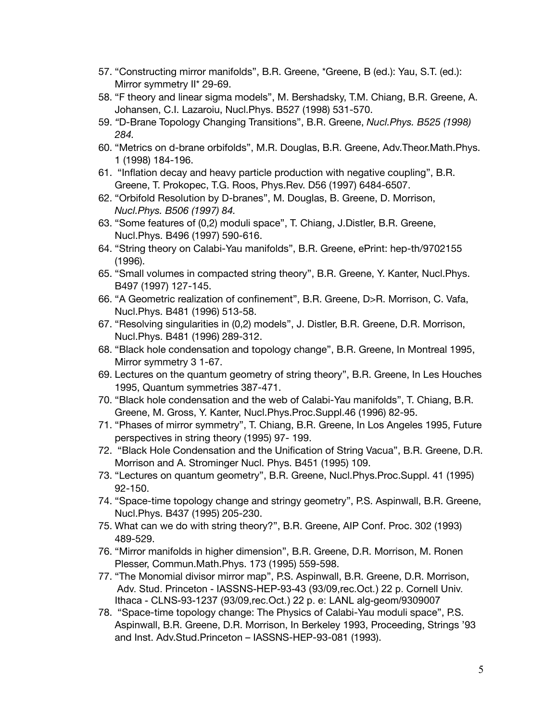- 57. "Constructing mirror manifolds", B.R. Greene, \*Greene, B (ed.): Yau, S.T. (ed.): Mirror symmetry II\* 29-69.
- 58. "F theory and linear sigma models", M. Bershadsky, T.M. Chiang, B.R. Greene, A. Johansen, C.I. Lazaroiu, Nucl.Phys. B527 (1998) 531-570.
- 59. *"*D-Brane Topology Changing Transitions", B.R. Greene, *Nucl.Phys. B525 (1998) 284.*
- 60. "Metrics on d-brane orbifolds", M.R. Douglas, B.R. Greene, Adv.Theor.Math.Phys. 1 (1998) 184-196.
- 61. "Inflation decay and heavy particle production with negative coupling", B.R. Greene, T. Prokopec, T.G. Roos, Phys.Rev. D56 (1997) 6484-6507.
- 62. "Orbifold Resolution by D-branes", M. Douglas, B. Greene, D. Morrison, *Nucl.Phys. B506 (1997) 84.*
- 63. "Some features of (0,2) moduli space", T. Chiang, J.Distler, B.R. Greene, Nucl.Phys. B496 (1997) 590-616.
- 64. "String theory on Calabi-Yau manifolds", B.R. Greene, ePrint: hep-th/9702155 (1996).
- 65. "Small volumes in compacted string theory", B.R. Greene, Y. Kanter, Nucl.Phys. B497 (1997) 127-145.
- 66. "A Geometric realization of confinement", B.R. Greene, D>R. Morrison, C. Vafa, Nucl.Phys. B481 (1996) 513-58.
- 67. "Resolving singularities in (0,2) models", J. Distler, B.R. Greene, D.R. Morrison, Nucl.Phys. B481 (1996) 289-312.
- 68. "Black hole condensation and topology change", B.R. Greene, In Montreal 1995, Mirror symmetry 3 1-67.
- 69. Lectures on the quantum geometry of string theory", B.R. Greene, In Les Houches 1995, Quantum symmetries 387-471.
- 70. "Black hole condensation and the web of Calabi-Yau manifolds", T. Chiang, B.R. Greene, M. Gross, Y. Kanter, Nucl.Phys.Proc.Suppl.46 (1996) 82-95.
- 71. "Phases of mirror symmetry", T. Chiang, B.R. Greene, In Los Angeles 1995, Future perspectives in string theory (1995) 97- 199.
- 72. "Black Hole Condensation and the Unification of String Vacua", B.R. Greene, D.R. Morrison and A. Strominger Nucl. Phys. B451 (1995) 109.
- 73. "Lectures on quantum geometry", B.R. Greene, Nucl.Phys.Proc.Suppl. 41 (1995) 92-150.
- 74. "Space-time topology change and stringy geometry", P.S. Aspinwall, B.R. Greene, Nucl.Phys. B437 (1995) 205-230.
- 75. What can we do with string theory?", B.R. Greene, AIP Conf. Proc. 302 (1993) 489-529.
- 76. "Mirror manifolds in higher dimension", B.R. Greene, D.R. Morrison, M. Ronen Plesser, Commun.Math.Phys. 173 (1995) 559-598.
- 77. "The Monomial divisor mirror map", P.S. Aspinwall, B.R. Greene, D.R. Morrison, Adv. Stud. Princeton - IASSNS-HEP-93-43 (93/09,rec.Oct.) 22 p. Cornell Univ. Ithaca - CLNS-93-1237 (93/09,rec.Oct.) 22 p. e: LANL alg-geom/9309007
- 78. "Space-time topology change: The Physics of Calabi-Yau moduli space", P.S. Aspinwall, B.R. Greene, D.R. Morrison, In Berkeley 1993, Proceeding, Strings '93 and Inst. Adv.Stud.Princeton – IASSNS-HEP-93-081 (1993).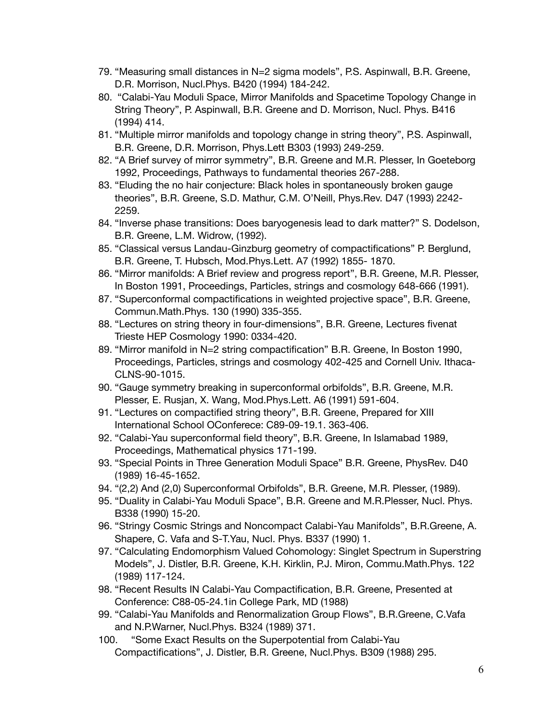- 79. "Measuring small distances in N=2 sigma models", P.S. Aspinwall, B.R. Greene, D.R. Morrison, Nucl.Phys. B420 (1994) 184-242.
- 80. "Calabi-Yau Moduli Space, Mirror Manifolds and Spacetime Topology Change in String Theory", P. Aspinwall, B.R. Greene and D. Morrison, Nucl. Phys. B416 (1994) 414.
- 81. "Multiple mirror manifolds and topology change in string theory", P.S. Aspinwall, B.R. Greene, D.R. Morrison, Phys.Lett B303 (1993) 249-259.
- 82. "A Brief survey of mirror symmetry", B.R. Greene and M.R. Plesser, In Goeteborg 1992, Proceedings, Pathways to fundamental theories 267-288.
- 83. "Eluding the no hair conjecture: Black holes in spontaneously broken gauge theories", B.R. Greene, S.D. Mathur, C.M. O'Neill, Phys.Rev. D47 (1993) 2242- 2259.
- 84. "Inverse phase transitions: Does baryogenesis lead to dark matter?" S. Dodelson, B.R. Greene, L.M. Widrow, (1992).
- 85. "Classical versus Landau-Ginzburg geometry of compactifications" P. Berglund, B.R. Greene, T. Hubsch, Mod.Phys.Lett. A7 (1992) 1855- 1870.
- 86. "Mirror manifolds: A Brief review and progress report", B.R. Greene, M.R. Plesser, In Boston 1991, Proceedings, Particles, strings and cosmology 648-666 (1991).
- 87. "Superconformal compactifications in weighted projective space", B.R. Greene, Commun.Math.Phys. 130 (1990) 335-355.
- 88. "Lectures on string theory in four-dimensions", B.R. Greene, Lectures fivenat Trieste HEP Cosmology 1990: 0334-420.
- 89. "Mirror manifold in N=2 string compactification" B.R. Greene, In Boston 1990, Proceedings, Particles, strings and cosmology 402-425 and Cornell Univ. Ithaca-CLNS-90-1015.
- 90. "Gauge symmetry breaking in superconformal orbifolds", B.R. Greene, M.R. Plesser, E. Rusjan, X. Wang, Mod.Phys.Lett. A6 (1991) 591-604.
- 91. "Lectures on compactified string theory", B.R. Greene, Prepared for XIII International School OConferece: C89-09-19.1. 363-406.
- 92. "Calabi-Yau superconformal field theory", B.R. Greene, In Islamabad 1989, Proceedings, Mathematical physics 171-199.
- 93. "Special Points in Three Generation Moduli Space" B.R. Greene, PhysRev. D40 (1989) 16-45-1652.
- 94. "(2,2) And (2,0) Superconformal Orbifolds", B.R. Greene, M.R. Plesser, (1989).
- 95. "Duality in Calabi-Yau Moduli Space", B.R. Greene and M.R.Plesser, Nucl. Phys. B338 (1990) 15-20.
- 96. "Stringy Cosmic Strings and Noncompact Calabi-Yau Manifolds", B.R.Greene, A. Shapere, C. Vafa and S-T.Yau, Nucl. Phys. B337 (1990) 1.
- 97. "Calculating Endomorphism Valued Cohomology: Singlet Spectrum in Superstring Models", J. Distler, B.R. Greene, K.H. Kirklin, P.J. Miron, Commu.Math.Phys. 122 (1989) 117-124.
- 98. "Recent Results IN Calabi-Yau Compactification, B.R. Greene, Presented at Conference: C88-05-24.1in College Park, MD (1988)
- 99. "Calabi-Yau Manifolds and Renormalization Group Flows", B.R.Greene, C.Vafa and N.P.Warner, Nucl.Phys. B324 (1989) 371.
- 100. "Some Exact Results on the Superpotential from Calabi-Yau Compactifications", J. Distler, B.R. Greene, Nucl.Phys. B309 (1988) 295.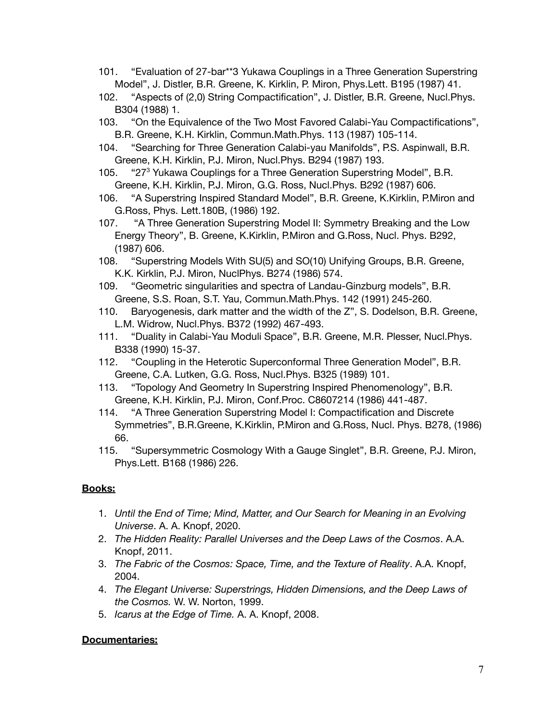- 101. "Evaluation of 27-bar\*\*3 Yukawa Couplings in a Three Generation Superstring Model", J. Distler, B.R. Greene, K. Kirklin, P. Miron, Phys.Lett. B195 (1987) 41.
- 102. "Aspects of (2,0) String Compactification", J. Distler, B.R. Greene, Nucl.Phys. B304 (1988) 1.
- 103. "On the Equivalence of the Two Most Favored Calabi-Yau Compactifications", B.R. Greene, K.H. Kirklin, Commun.Math.Phys. 113 (1987) 105-114.
- 104. "Searching for Three Generation Calabi-yau Manifolds", P.S. Aspinwall, B.R. Greene, K.H. Kirklin, P.J. Miron, Nucl.Phys. B294 (1987) 193.
- $105.$ "27<sup>3</sup> Yukawa Couplings for a Three Generation Superstring Model", B.R. Greene, K.H. Kirklin, P.J. Miron, G.G. Ross, Nucl.Phys. B292 (1987) 606.
- 106. "A Superstring Inspired Standard Model", B.R. Greene, K.Kirklin, P.Miron and G.Ross, Phys. Lett.180B, (1986) 192.
- 107. "A Three Generation Superstring Model II: Symmetry Breaking and the Low Energy Theory", B. Greene, K.Kirklin, P.Miron and G.Ross, Nucl. Phys. B292, (1987) 606.
- 108. "Superstring Models With SU(5) and SO(10) Unifying Groups, B.R. Greene, K.K. Kirklin, P.J. Miron, NuclPhys. B274 (1986) 574.
- 109. "Geometric singularities and spectra of Landau-Ginzburg models", B.R. Greene, S.S. Roan, S.T. Yau, Commun.Math.Phys. 142 (1991) 245-260.
- 110. Baryogenesis, dark matter and the width of the Z", S. Dodelson, B.R. Greene, L.M. Widrow, Nucl.Phys. B372 (1992) 467-493.
- 111. "Duality in Calabi-Yau Moduli Space", B.R. Greene, M.R. Plesser, Nucl.Phys. B338 (1990) 15-37.
- 112. "Coupling in the Heterotic Superconformal Three Generation Model", B.R. Greene, C.A. Lutken, G.G. Ross, Nucl.Phys. B325 (1989) 101.
- 113. "Topology And Geometry In Superstring Inspired Phenomenology", B.R. Greene, K.H. Kirklin, P.J. Miron, Conf.Proc. C8607214 (1986) 441-487.
- 114. "A Three Generation Superstring Model I: Compactification and Discrete Symmetries", B.R.Greene, K.Kirklin, P.Miron and G.Ross, Nucl. Phys. B278, (1986) 66.
- 115. "Supersymmetric Cosmology With a Gauge Singlet", B.R. Greene, P.J. Miron, Phys.Lett. B168 (1986) 226.

### **Books:**

- 1. *Until the End of Time; Mind, Matter, and Our Search for Meaning in an Evolving Universe*. A. A. Knopf, 2020.
- 2. *The Hidden Reality: Parallel Universes and the Deep Laws of the Cosmos*. A.A. Knopf, 2011.
- 3. *The Fabric of the Cosmos: Space, Time, and the Texture of Reality*. A.A. Knopf, 2004.
- 4. *The Elegant Universe: Superstrings, Hidden Dimensions, and the Deep Laws of the Cosmos.* W. W. Norton, 1999.
- 5. *Icarus at the Edge of Time.* A. A. Knopf, 2008.

# **Documentaries:**